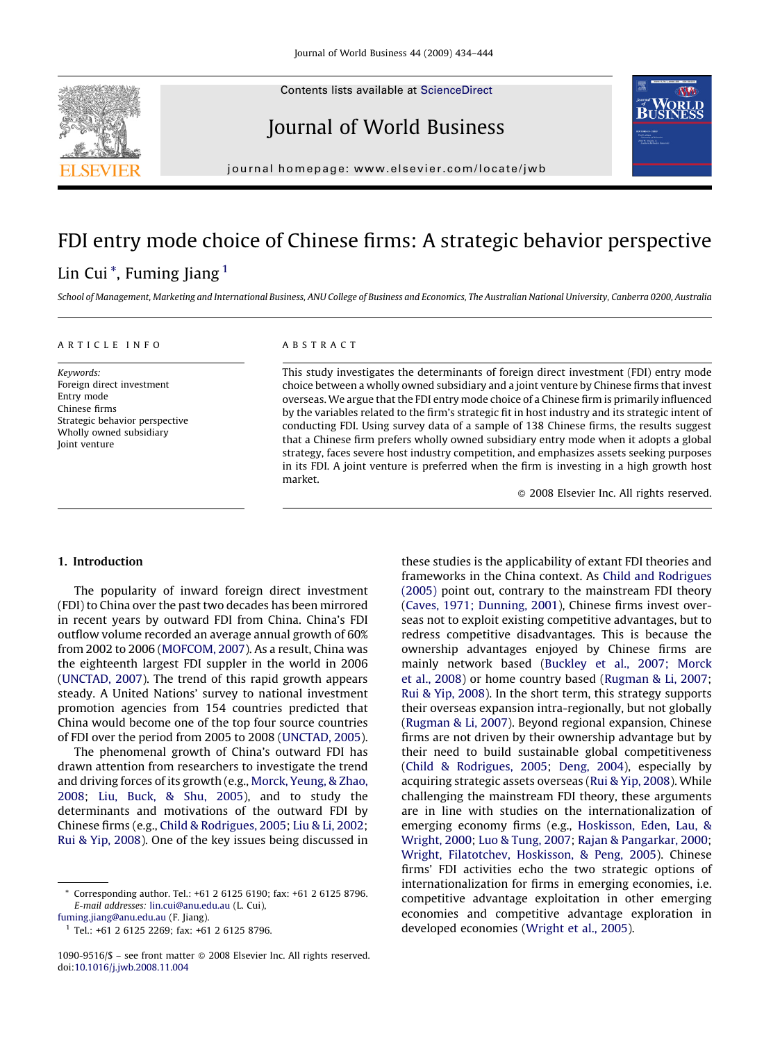Contents lists available at [ScienceDirect](http://www.sciencedirect.com/science/journal/10909516)







journal homepage: www.elsevier.com/locate/jwb

## FDI entry mode choice of Chinese firms: A strategic behavior perspective

### Lin Cui<sup>\*</sup>, Fuming Jiang<sup>1</sup>

School of Management, Marketing and International Business, ANU College of Business and Economics, The Australian National University, Canberra 0200, Australia

#### ARTICLE INFO

Keywords: Foreign direct investment Entry mode Chinese firms Strategic behavior perspective Wholly owned subsidiary Joint venture

#### ABSTRACT

This study investigates the determinants of foreign direct investment (FDI) entry mode choice between a wholly owned subsidiary and a joint venture by Chinese firms that invest overseas. We argue that the FDI entry mode choice of a Chinese firm is primarily influenced by the variables related to the firm's strategic fit in host industry and its strategic intent of conducting FDI. Using survey data of a sample of 138 Chinese firms, the results suggest that a Chinese firm prefers wholly owned subsidiary entry mode when it adopts a global strategy, faces severe host industry competition, and emphasizes assets seeking purposes in its FDI. A joint venture is preferred when the firm is investing in a high growth host market.

 $\odot$  2008 Elsevier Inc. All rights reserved.

#### 1. Introduction

The popularity of inward foreign direct investment (FDI) to China over the past two decades has been mirrored in recent years by outward FDI from China. China's FDI outflow volume recorded an average annual growth of 60% from 2002 to 2006 [\(MOFCOM, 2007\)](#page--1-0). As a result, China was the eighteenth largest FDI suppler in the world in 2006 [\(UNCTAD, 2007\)](#page--1-0). The trend of this rapid growth appears steady. A United Nations' survey to national investment promotion agencies from 154 countries predicted that China would become one of the top four source countries of FDI over the period from 2005 to 2008 [\(UNCTAD, 2005](#page--1-0)).

The phenomenal growth of China's outward FDI has drawn attention from researchers to investigate the trend and driving forces of its growth (e.g., [Morck, Yeung, & Zhao,](#page--1-0) [2008](#page--1-0); [Liu, Buck, & Shu, 2005\)](#page--1-0), and to study the determinants and motivations of the outward FDI by Chinese firms (e.g., [Child & Rodrigues, 2005](#page--1-0); [Liu & Li, 2002](#page--1-0); [Rui & Yip, 2008\)](#page--1-0). One of the key issues being discussed in

these studies is the applicability of extant FDI theories and frameworks in the China context. As [Child and Rodrigues](#page--1-0) [\(2005\)](#page--1-0) point out, contrary to the mainstream FDI theory [\(Caves, 1971; Dunning, 2001\)](#page--1-0), Chinese firms invest overseas not to exploit existing competitive advantages, but to redress competitive disadvantages. This is because the ownership advantages enjoyed by Chinese firms are mainly network based [\(Buckley et al., 2007; Morck](#page--1-0) [et al., 2008](#page--1-0)) or home country based ([Rugman & Li, 2007](#page--1-0); [Rui & Yip, 2008\)](#page--1-0). In the short term, this strategy supports their overseas expansion intra-regionally, but not globally [\(Rugman & Li, 2007\)](#page--1-0). Beyond regional expansion, Chinese firms are not driven by their ownership advantage but by their need to build sustainable global competitiveness [\(Child & Rodrigues, 2005](#page--1-0); [Deng, 2004\)](#page--1-0), especially by acquiring strategic assets overseas ([Rui & Yip, 2008\)](#page--1-0). While challenging the mainstream FDI theory, these arguments are in line with studies on the internationalization of emerging economy firms (e.g., [Hoskisson, Eden, Lau, &](#page--1-0) [Wright, 2000](#page--1-0); [Luo & Tung, 2007](#page--1-0); [Rajan & Pangarkar, 2000](#page--1-0); [Wright, Filatotchev, Hoskisson, & Peng, 2005](#page--1-0)). Chinese firms' FDI activities echo the two strategic options of internationalization for firms in emerging economies, i.e. competitive advantage exploitation in other emerging economies and competitive advantage exploration in developed economies ([Wright et al., 2005\)](#page--1-0).

<sup>\*</sup> Corresponding author. Tel.: +61 2 6125 6190; fax: +61 2 6125 8796. E-mail addresses: [lin.cui@anu.edu.au](mailto:lin.cui@anu.edu.au) (L. Cui), [fuming.jiang@anu.edu.au](mailto:fuming.jiang@anu.edu.au) (F. Jiang).

<sup>1</sup> Tel.: +61 2 6125 2269; fax: +61 2 6125 8796.

<sup>1090-9516/\$ –</sup> see front matter  $\odot$  2008 Elsevier Inc. All rights reserved. doi[:10.1016/j.jwb.2008.11.004](http://dx.doi.org/10.1016/j.jwb.2008.11.004)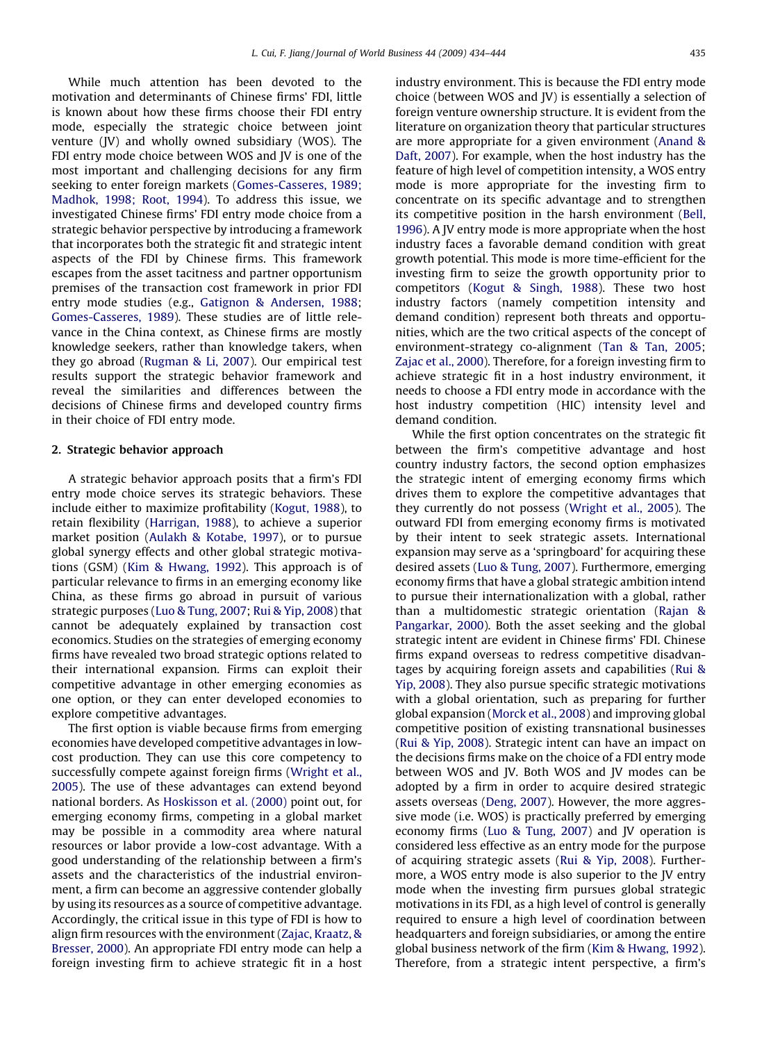While much attention has been devoted to the motivation and determinants of Chinese firms' FDI, little is known about how these firms choose their FDI entry mode, especially the strategic choice between joint venture (JV) and wholly owned subsidiary (WOS). The FDI entry mode choice between WOS and JV is one of the most important and challenging decisions for any firm seeking to enter foreign markets [\(Gomes-Casseres, 1989;](#page--1-0) [Madhok, 1998; Root, 1994\)](#page--1-0). To address this issue, we investigated Chinese firms' FDI entry mode choice from a strategic behavior perspective by introducing a framework that incorporates both the strategic fit and strategic intent aspects of the FDI by Chinese firms. This framework escapes from the asset tacitness and partner opportunism premises of the transaction cost framework in prior FDI entry mode studies (e.g., [Gatignon & Andersen, 1988](#page--1-0); [Gomes-Casseres, 1989](#page--1-0)). These studies are of little relevance in the China context, as Chinese firms are mostly knowledge seekers, rather than knowledge takers, when they go abroad ([Rugman & Li, 2007](#page--1-0)). Our empirical test results support the strategic behavior framework and reveal the similarities and differences between the decisions of Chinese firms and developed country firms in their choice of FDI entry mode.

#### 2. Strategic behavior approach

A strategic behavior approach posits that a firm's FDI entry mode choice serves its strategic behaviors. These include either to maximize profitability ([Kogut, 1988\)](#page--1-0), to retain flexibility ([Harrigan, 1988](#page--1-0)), to achieve a superior market position [\(Aulakh & Kotabe, 1997\)](#page--1-0), or to pursue global synergy effects and other global strategic motivations (GSM) ([Kim & Hwang, 1992](#page--1-0)). This approach is of particular relevance to firms in an emerging economy like China, as these firms go abroad in pursuit of various strategic purposes ([Luo & Tung, 2007;](#page--1-0) [Rui & Yip, 2008\)](#page--1-0) that cannot be adequately explained by transaction cost economics. Studies on the strategies of emerging economy firms have revealed two broad strategic options related to their international expansion. Firms can exploit their competitive advantage in other emerging economies as one option, or they can enter developed economies to explore competitive advantages.

The first option is viable because firms from emerging economies have developed competitive advantages in lowcost production. They can use this core competency to successfully compete against foreign firms [\(Wright et al.,](#page--1-0) [2005](#page--1-0)). The use of these advantages can extend beyond national borders. As [Hoskisson et al. \(2000\)](#page--1-0) point out, for emerging economy firms, competing in a global market may be possible in a commodity area where natural resources or labor provide a low-cost advantage. With a good understanding of the relationship between a firm's assets and the characteristics of the industrial environment, a firm can become an aggressive contender globally by using its resources as a source of competitive advantage. Accordingly, the critical issue in this type of FDI is how to align firm resources with the environment ([Zajac, Kraatz, &](#page--1-0) [Bresser, 2000](#page--1-0)). An appropriate FDI entry mode can help a foreign investing firm to achieve strategic fit in a host industry environment. This is because the FDI entry mode choice (between WOS and JV) is essentially a selection of foreign venture ownership structure. It is evident from the literature on organization theory that particular structures are more appropriate for a given environment [\(Anand &](#page--1-0) [Daft, 2007\)](#page--1-0). For example, when the host industry has the feature of high level of competition intensity, a WOS entry mode is more appropriate for the investing firm to concentrate on its specific advantage and to strengthen its competitive position in the harsh environment ([Bell,](#page--1-0) [1996](#page--1-0)). A JV entry mode is more appropriate when the host industry faces a favorable demand condition with great growth potential. This mode is more time-efficient for the investing firm to seize the growth opportunity prior to competitors [\(Kogut & Singh, 1988](#page--1-0)). These two host industry factors (namely competition intensity and demand condition) represent both threats and opportunities, which are the two critical aspects of the concept of environment-strategy co-alignment ([Tan & Tan, 2005](#page--1-0); [Zajac et al., 2000\)](#page--1-0). Therefore, for a foreign investing firm to achieve strategic fit in a host industry environment, it needs to choose a FDI entry mode in accordance with the host industry competition (HIC) intensity level and demand condition.

While the first option concentrates on the strategic fit between the firm's competitive advantage and host country industry factors, the second option emphasizes the strategic intent of emerging economy firms which drives them to explore the competitive advantages that they currently do not possess ([Wright et al., 2005\)](#page--1-0). The outward FDI from emerging economy firms is motivated by their intent to seek strategic assets. International expansion may serve as a 'springboard' for acquiring these desired assets [\(Luo & Tung, 2007](#page--1-0)). Furthermore, emerging economy firms that have a global strategic ambition intend to pursue their internationalization with a global, rather than a multidomestic strategic orientation ([Rajan &](#page--1-0) [Pangarkar, 2000\)](#page--1-0). Both the asset seeking and the global strategic intent are evident in Chinese firms' FDI. Chinese firms expand overseas to redress competitive disadvantages by acquiring foreign assets and capabilities [\(Rui &](#page--1-0) [Yip, 2008\)](#page--1-0). They also pursue specific strategic motivations with a global orientation, such as preparing for further global expansion ([Morck et al., 2008\)](#page--1-0) and improving global competitive position of existing transnational businesses [\(Rui & Yip, 2008](#page--1-0)). Strategic intent can have an impact on the decisions firms make on the choice of a FDI entry mode between WOS and JV. Both WOS and JV modes can be adopted by a firm in order to acquire desired strategic assets overseas [\(Deng, 2007](#page--1-0)). However, the more aggressive mode (i.e. WOS) is practically preferred by emerging economy firms ([Luo & Tung, 2007](#page--1-0)) and JV operation is considered less effective as an entry mode for the purpose of acquiring strategic assets [\(Rui & Yip, 2008\)](#page--1-0). Furthermore, a WOS entry mode is also superior to the JV entry mode when the investing firm pursues global strategic motivations in its FDI, as a high level of control is generally required to ensure a high level of coordination between headquarters and foreign subsidiaries, or among the entire global business network of the firm [\(Kim & Hwang, 1992](#page--1-0)). Therefore, from a strategic intent perspective, a firm's